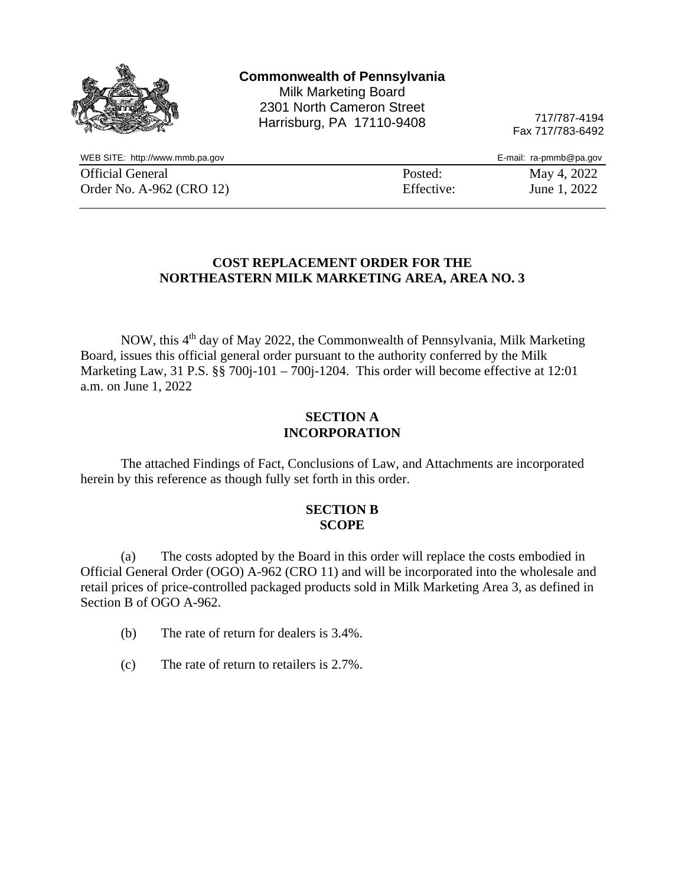|                                 | <b>Commonwealth of Pennsylvania</b><br><b>Milk Marketing Board</b><br>2301 North Cameron Street<br>Harrisburg, PA 17110-9408 | 717/787-4194<br>Fax 717/783-6492 |
|---------------------------------|------------------------------------------------------------------------------------------------------------------------------|----------------------------------|
| WEB SITE: http://www.mmb.pa.gov |                                                                                                                              | E-mail: ra-pmmb@pa.gov           |
| <b>Official General</b>         | Posted:                                                                                                                      | May 4, 2022                      |
| Order No. A-962 (CRO 12)        | Effective:                                                                                                                   | June 1, 2022                     |

#### **COST REPLACEMENT ORDER FOR THE NORTHEASTERN MILK MARKETING AREA, AREA NO. 3**

NOW, this 4th day of May 2022, the Commonwealth of Pennsylvania, Milk Marketing Board, issues this official general order pursuant to the authority conferred by the Milk Marketing Law, 31 P.S. §§ 700j-101 – 700j-1204. This order will become effective at 12:01 a.m. on June 1, 2022

#### **SECTION A INCORPORATION**

The attached Findings of Fact, Conclusions of Law, and Attachments are incorporated herein by this reference as though fully set forth in this order.

#### **SECTION B SCOPE**

(a) The costs adopted by the Board in this order will replace the costs embodied in Official General Order (OGO) A-962 (CRO 11) and will be incorporated into the wholesale and retail prices of price-controlled packaged products sold in Milk Marketing Area 3, as defined in Section B of OGO A-962.

- (b) The rate of return for dealers is 3.4%.
- (c) The rate of return to retailers is 2.7%.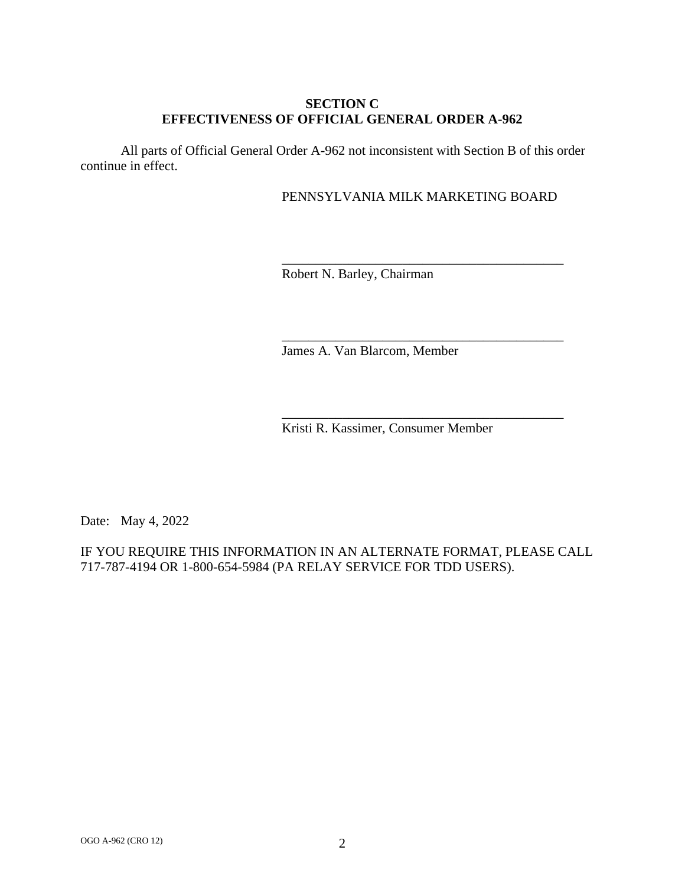## **SECTION C EFFECTIVENESS OF OFFICIAL GENERAL ORDER A-962**

All parts of Official General Order A-962 not inconsistent with Section B of this order continue in effect.

### PENNSYLVANIA MILK MARKETING BOARD

\_\_\_\_\_\_\_\_\_\_\_\_\_\_\_\_\_\_\_\_\_\_\_\_\_\_\_\_\_\_\_\_\_\_\_\_\_\_\_\_\_\_

\_\_\_\_\_\_\_\_\_\_\_\_\_\_\_\_\_\_\_\_\_\_\_\_\_\_\_\_\_\_\_\_\_\_\_\_\_\_\_\_\_\_

\_\_\_\_\_\_\_\_\_\_\_\_\_\_\_\_\_\_\_\_\_\_\_\_\_\_\_\_\_\_\_\_\_\_\_\_\_\_\_\_\_\_

Robert N. Barley, Chairman

James A. Van Blarcom, Member

Kristi R. Kassimer, Consumer Member

Date: May 4, 2022

IF YOU REQUIRE THIS INFORMATION IN AN ALTERNATE FORMAT, PLEASE CALL 717-787-4194 OR 1-800-654-5984 (PA RELAY SERVICE FOR TDD USERS).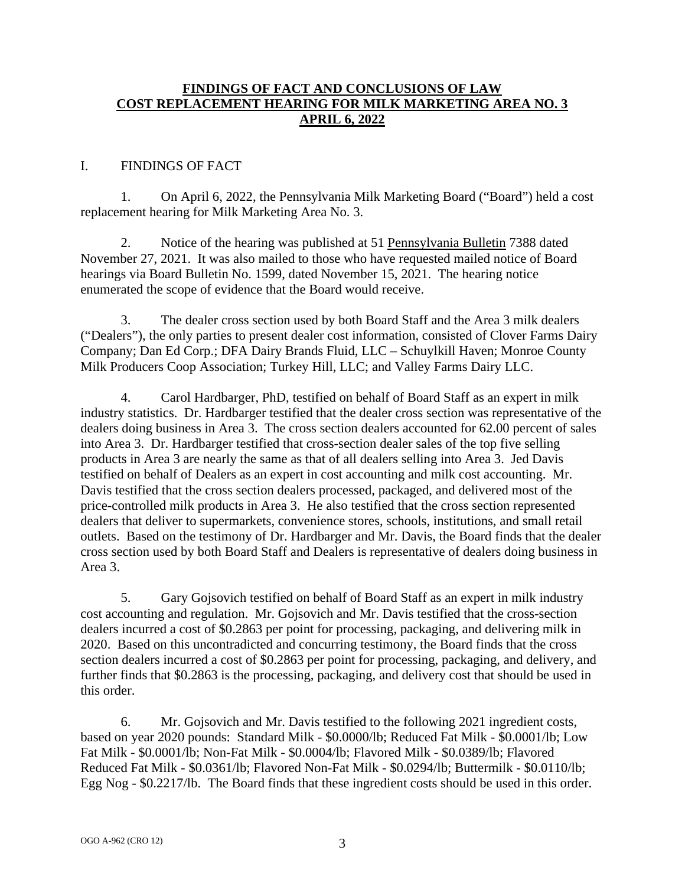## **FINDINGS OF FACT AND CONCLUSIONS OF LAW COST REPLACEMENT HEARING FOR MILK MARKETING AREA NO. 3 APRIL 6, 2022**

### I. FINDINGS OF FACT

1. On April 6, 2022, the Pennsylvania Milk Marketing Board ("Board") held a cost replacement hearing for Milk Marketing Area No. 3.

2. Notice of the hearing was published at 51 Pennsylvania Bulletin 7388 dated November 27, 2021. It was also mailed to those who have requested mailed notice of Board hearings via Board Bulletin No. 1599, dated November 15, 2021. The hearing notice enumerated the scope of evidence that the Board would receive.

3. The dealer cross section used by both Board Staff and the Area 3 milk dealers ("Dealers"), the only parties to present dealer cost information, consisted of Clover Farms Dairy Company; Dan Ed Corp.; DFA Dairy Brands Fluid, LLC – Schuylkill Haven; Monroe County Milk Producers Coop Association; Turkey Hill, LLC; and Valley Farms Dairy LLC.

4. Carol Hardbarger, PhD, testified on behalf of Board Staff as an expert in milk industry statistics. Dr. Hardbarger testified that the dealer cross section was representative of the dealers doing business in Area 3. The cross section dealers accounted for 62.00 percent of sales into Area 3. Dr. Hardbarger testified that cross-section dealer sales of the top five selling products in Area 3 are nearly the same as that of all dealers selling into Area 3. Jed Davis testified on behalf of Dealers as an expert in cost accounting and milk cost accounting. Mr. Davis testified that the cross section dealers processed, packaged, and delivered most of the price-controlled milk products in Area 3. He also testified that the cross section represented dealers that deliver to supermarkets, convenience stores, schools, institutions, and small retail outlets. Based on the testimony of Dr. Hardbarger and Mr. Davis, the Board finds that the dealer cross section used by both Board Staff and Dealers is representative of dealers doing business in Area 3.

5. Gary Gojsovich testified on behalf of Board Staff as an expert in milk industry cost accounting and regulation. Mr. Gojsovich and Mr. Davis testified that the cross-section dealers incurred a cost of \$0.2863 per point for processing, packaging, and delivering milk in 2020. Based on this uncontradicted and concurring testimony, the Board finds that the cross section dealers incurred a cost of \$0.2863 per point for processing, packaging, and delivery, and further finds that \$0.2863 is the processing, packaging, and delivery cost that should be used in this order.

6. Mr. Gojsovich and Mr. Davis testified to the following 2021 ingredient costs, based on year 2020 pounds: Standard Milk - \$0.0000/lb; Reduced Fat Milk - \$0.0001/lb; Low Fat Milk - \$0.0001/lb; Non-Fat Milk - \$0.0004/lb; Flavored Milk - \$0.0389/lb; Flavored Reduced Fat Milk - \$0.0361/lb; Flavored Non-Fat Milk - \$0.0294/lb; Buttermilk - \$0.0110/lb; Egg Nog - \$0.2217/lb. The Board finds that these ingredient costs should be used in this order.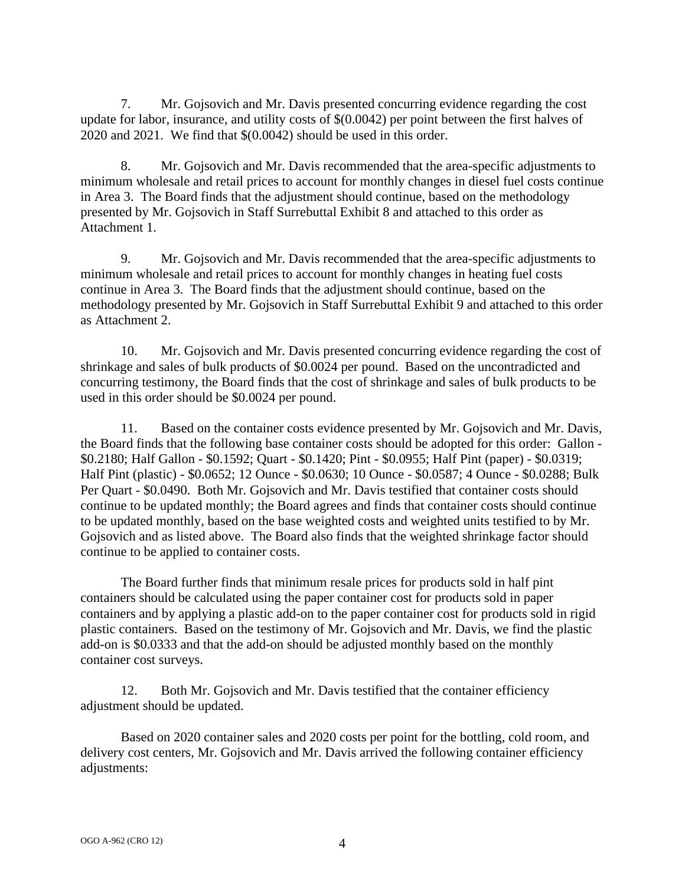7. Mr. Gojsovich and Mr. Davis presented concurring evidence regarding the cost update for labor, insurance, and utility costs of \$(0.0042) per point between the first halves of 2020 and 2021. We find that \$(0.0042) should be used in this order.

8. Mr. Gojsovich and Mr. Davis recommended that the area-specific adjustments to minimum wholesale and retail prices to account for monthly changes in diesel fuel costs continue in Area 3. The Board finds that the adjustment should continue, based on the methodology presented by Mr. Gojsovich in Staff Surrebuttal Exhibit 8 and attached to this order as Attachment 1.

9. Mr. Gojsovich and Mr. Davis recommended that the area-specific adjustments to minimum wholesale and retail prices to account for monthly changes in heating fuel costs continue in Area 3. The Board finds that the adjustment should continue, based on the methodology presented by Mr. Gojsovich in Staff Surrebuttal Exhibit 9 and attached to this order as Attachment 2.

10. Mr. Gojsovich and Mr. Davis presented concurring evidence regarding the cost of shrinkage and sales of bulk products of \$0.0024 per pound. Based on the uncontradicted and concurring testimony, the Board finds that the cost of shrinkage and sales of bulk products to be used in this order should be \$0.0024 per pound.

11. Based on the container costs evidence presented by Mr. Gojsovich and Mr. Davis, the Board finds that the following base container costs should be adopted for this order: Gallon - \$0.2180; Half Gallon - \$0.1592; Quart - \$0.1420; Pint - \$0.0955; Half Pint (paper) - \$0.0319; Half Pint (plastic) - \$0.0652; 12 Ounce - \$0.0630; 10 Ounce - \$0.0587; 4 Ounce - \$0.0288; Bulk Per Quart - \$0.0490. Both Mr. Gojsovich and Mr. Davis testified that container costs should continue to be updated monthly; the Board agrees and finds that container costs should continue to be updated monthly, based on the base weighted costs and weighted units testified to by Mr. Gojsovich and as listed above. The Board also finds that the weighted shrinkage factor should continue to be applied to container costs.

The Board further finds that minimum resale prices for products sold in half pint containers should be calculated using the paper container cost for products sold in paper containers and by applying a plastic add-on to the paper container cost for products sold in rigid plastic containers. Based on the testimony of Mr. Gojsovich and Mr. Davis, we find the plastic add-on is \$0.0333 and that the add-on should be adjusted monthly based on the monthly container cost surveys.

12. Both Mr. Gojsovich and Mr. Davis testified that the container efficiency adjustment should be updated.

Based on 2020 container sales and 2020 costs per point for the bottling, cold room, and delivery cost centers, Mr. Gojsovich and Mr. Davis arrived the following container efficiency adjustments: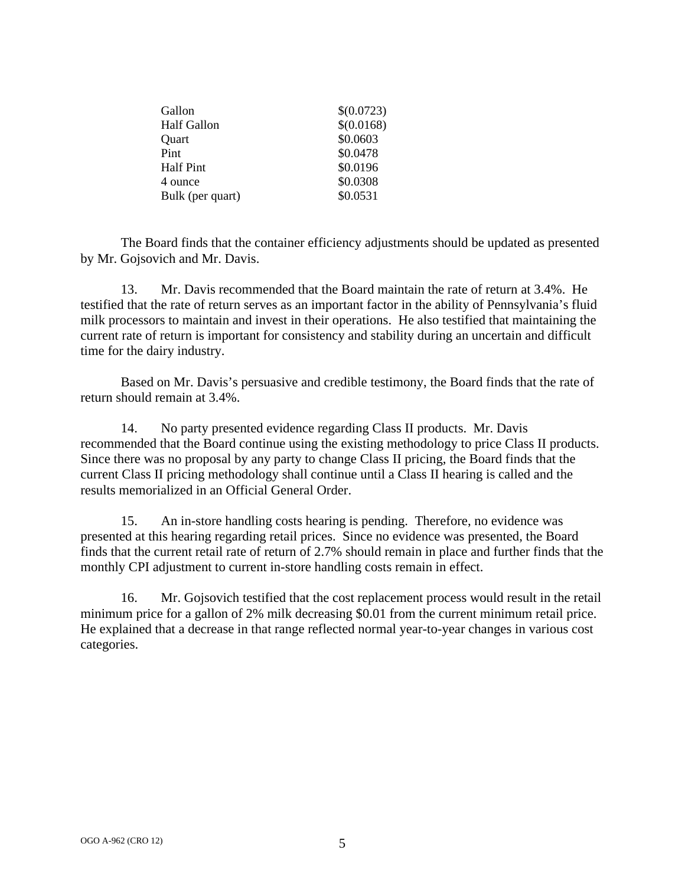| Gallon             | \$(0.0723) |
|--------------------|------------|
| <b>Half Gallon</b> | \$(0.0168) |
| Quart              | \$0.0603   |
| Pint               | \$0.0478   |
| <b>Half Pint</b>   | \$0.0196   |
| 4 ounce            | \$0.0308   |
| Bulk (per quart)   | \$0.0531   |

The Board finds that the container efficiency adjustments should be updated as presented by Mr. Gojsovich and Mr. Davis.

13. Mr. Davis recommended that the Board maintain the rate of return at 3.4%. He testified that the rate of return serves as an important factor in the ability of Pennsylvania's fluid milk processors to maintain and invest in their operations. He also testified that maintaining the current rate of return is important for consistency and stability during an uncertain and difficult time for the dairy industry.

Based on Mr. Davis's persuasive and credible testimony, the Board finds that the rate of return should remain at 3.4%.

14. No party presented evidence regarding Class II products. Mr. Davis recommended that the Board continue using the existing methodology to price Class II products. Since there was no proposal by any party to change Class II pricing, the Board finds that the current Class II pricing methodology shall continue until a Class II hearing is called and the results memorialized in an Official General Order.

15. An in-store handling costs hearing is pending. Therefore, no evidence was presented at this hearing regarding retail prices. Since no evidence was presented, the Board finds that the current retail rate of return of 2.7% should remain in place and further finds that the monthly CPI adjustment to current in-store handling costs remain in effect.

16. Mr. Gojsovich testified that the cost replacement process would result in the retail minimum price for a gallon of 2% milk decreasing \$0.01 from the current minimum retail price. He explained that a decrease in that range reflected normal year-to-year changes in various cost categories.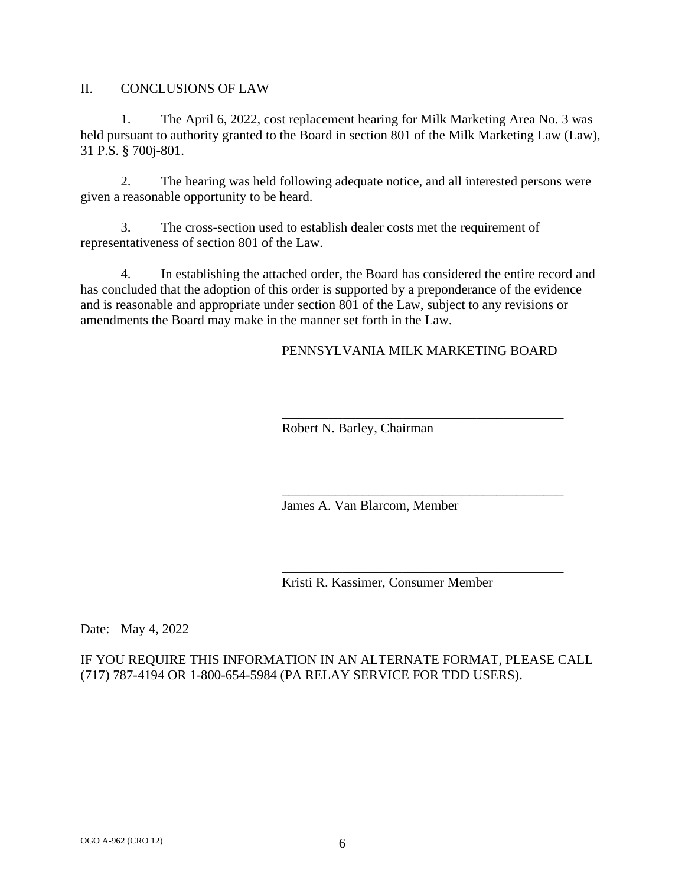II. CONCLUSIONS OF LAW

1. The April 6, 2022, cost replacement hearing for Milk Marketing Area No. 3 was held pursuant to authority granted to the Board in section 801 of the Milk Marketing Law (Law), 31 P.S. § 700j-801.

2. The hearing was held following adequate notice, and all interested persons were given a reasonable opportunity to be heard.

3. The cross-section used to establish dealer costs met the requirement of representativeness of section 801 of the Law.

4. In establishing the attached order, the Board has considered the entire record and has concluded that the adoption of this order is supported by a preponderance of the evidence and is reasonable and appropriate under section 801 of the Law, subject to any revisions or amendments the Board may make in the manner set forth in the Law.

PENNSYLVANIA MILK MARKETING BOARD

\_\_\_\_\_\_\_\_\_\_\_\_\_\_\_\_\_\_\_\_\_\_\_\_\_\_\_\_\_\_\_\_\_\_\_\_\_\_\_\_\_\_

\_\_\_\_\_\_\_\_\_\_\_\_\_\_\_\_\_\_\_\_\_\_\_\_\_\_\_\_\_\_\_\_\_\_\_\_\_\_\_\_\_\_

\_\_\_\_\_\_\_\_\_\_\_\_\_\_\_\_\_\_\_\_\_\_\_\_\_\_\_\_\_\_\_\_\_\_\_\_\_\_\_\_\_\_

Robert N. Barley, Chairman

James A. Van Blarcom, Member

Kristi R. Kassimer, Consumer Member

Date: May 4, 2022

IF YOU REQUIRE THIS INFORMATION IN AN ALTERNATE FORMAT, PLEASE CALL (717) 787-4194 OR 1-800-654-5984 (PA RELAY SERVICE FOR TDD USERS).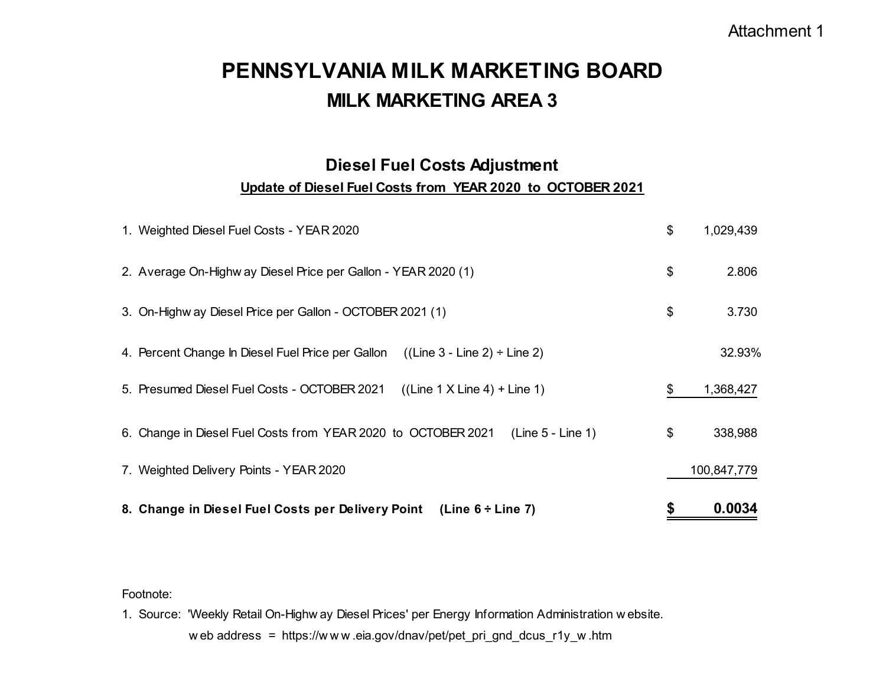# **MILK MARKETING AREA 3PENNSYLVANIA MILK MARKETING BOARD**

## **Diesel Fuel Costs Adjustment Update of Diesel Fuel Costs from YEAR 2020 to OCTOBER 2021**

| 8. Change in Diesel Fuel Costs per Delivery Point (Line 6 ÷ Line 7)                    | \$<br>0.0034    |
|----------------------------------------------------------------------------------------|-----------------|
| 7. Weighted Delivery Points - YEAR 2020                                                | 100,847,779     |
| $(Line 5 - Line 1)$<br>6. Change in Diesel Fuel Costs from YEAR 2020 to OCTOBER 2021   | \$<br>338,988   |
| 5. Presumed Diesel Fuel Costs - OCTOBER 2021<br>$((Line 1 X Line 4) + Line 1)$         | \$<br>1,368,427 |
| 4. Percent Change In Diesel Fuel Price per Gallon<br>$((Line 3 - Line 2) \div Line 2)$ | 32.93%          |
| 3. On-Highw ay Diesel Price per Gallon - OCTOBER 2021 (1)                              | \$<br>3.730     |
| 2. Average On-Highw ay Diesel Price per Gallon - YEAR 2020 (1)                         | \$<br>2.806     |
| 1. Weighted Diesel Fuel Costs - YEAR 2020                                              | \$<br>1,029,439 |

Footnote:

1. Source: 'Weekly Retail On-Highw ay Diesel Prices' per Energy Information Administration w ebsite.

<sup>w</sup> eb address = https://w <sup>w</sup> <sup>w</sup> .eia.gov/dnav/pet/pet\_pri\_gnd\_dcus\_r1y\_w .htm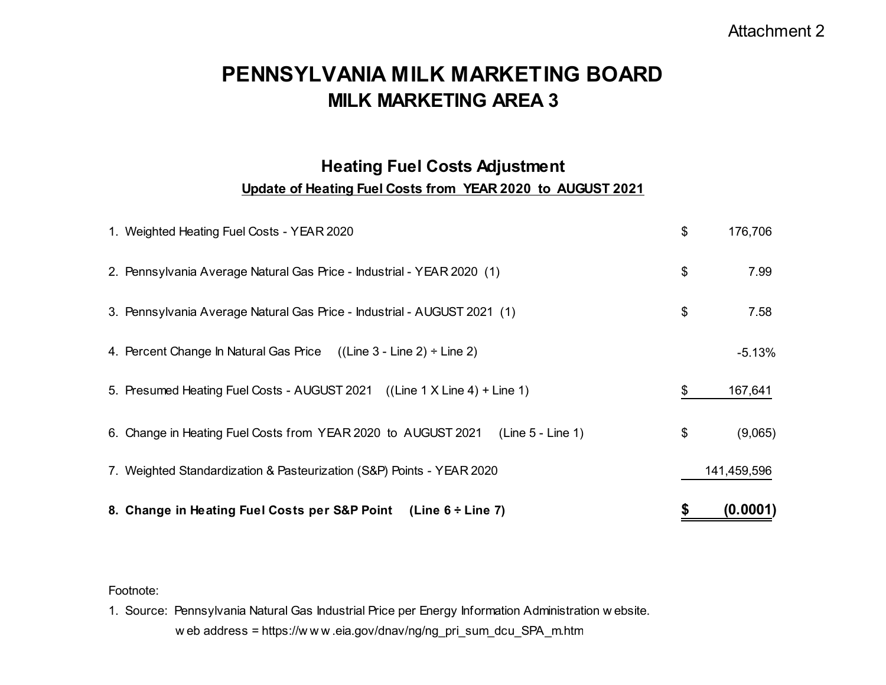## **MILK MARKETING AREA 3PENNSYLVANIA MILK MARKETING BOARD**

# **Heating Fuel Costs Adjustment**

## **Update of Heating Fuel Costs from YEAR 2020 to AUGUST 2021**

| 8. Change in Heating Fuel Costs per S&P Point (Line 6 ÷ Line 7)                      | \$<br>(0.0001) |
|--------------------------------------------------------------------------------------|----------------|
| 7. Weighted Standardization & Pasteurization (S&P) Points - YEAR 2020                | 141,459,596    |
| 6. Change in Heating Fuel Costs from YEAR 2020 to AUGUST 2021<br>$(Line 5 - Line 1)$ | \$<br>(9,065)  |
| 5. Presumed Heating Fuel Costs - AUGUST 2021 ((Line 1 X Line 4) + Line 1)            | \$<br>167,641  |
| 4. Percent Change In Natural Gas Price $((Line 3 - Line 2) \div Line 2)$             | $-5.13%$       |
| 3. Pennsylvania Average Natural Gas Price - Industrial - AUGUST 2021 (1)             | \$<br>7.58     |
| 2. Pennsylvania Average Natural Gas Price - Industrial - YEAR 2020 (1)               | \$<br>7.99     |
| 1. Weighted Heating Fuel Costs - YEAR 2020                                           | \$<br>176,706  |

## Footnote:

1. Source: Pennsylvania Natural Gas Industrial Price per Energy Information Administration w ebsite. <sup>w</sup> eb address = https://w <sup>w</sup> <sup>w</sup> .eia.gov/dnav/ng/ng\_pri\_sum\_dcu\_SPA\_m.ht m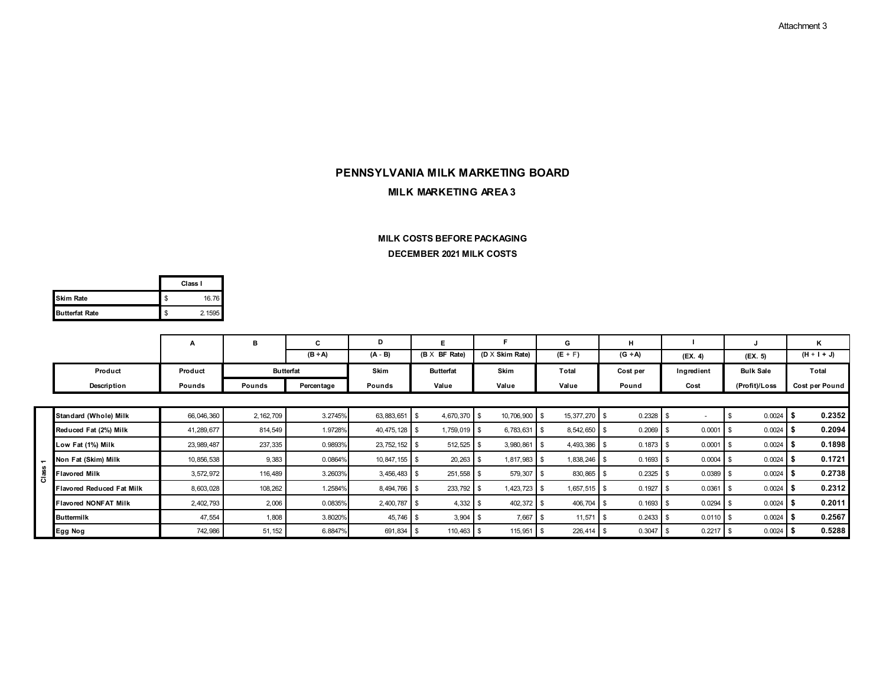## **MILK MARKETING AREA 3PENNSYLVANIA MILK MARKETING BOARD**

#### **DECEMBER 2021 MILK COSTS MILK COSTS BEFORE PACKAGING**

|                       | Class I      |
|-----------------------|--------------|
| <b>Skim Rate</b>      | \$<br>16.76  |
| <b>Butterfat Rate</b> | \$<br>2.1595 |

|                |                             | А            | в                | C            | D               | Е.                   |                        | G              | н                  |             |                  | κ              |
|----------------|-----------------------------|--------------|------------------|--------------|-----------------|----------------------|------------------------|----------------|--------------------|-------------|------------------|----------------|
|                |                             |              |                  | $(B \div A)$ | $(A - B)$       | $(B \times BF Rate)$ | $(D \times$ Skim Rate) | $(E + F)$      | $(G \div A)$       | (EX. 4)     | (FX. 5)          | $(H + I + J)$  |
|                | Product                     | Product      | <b>Butterfat</b> |              | Skim            | <b>Butterfat</b>     | Skim                   | <b>Total</b>   | Cost per           | Ingredient  | <b>Bulk Sale</b> | Total          |
|                | Description                 | Pounds       | Pounds           | Percentage   | Pounds          | Value                | Value                  | Value          | Pound              | Cost        | (Profit)/Loss    | Cost per Pound |
|                |                             |              |                  |              |                 |                      |                        |                |                    |             |                  |                |
|                | Standard (Whole) Milk       | 66,046,360   | 2, 162, 709      | 3.2745%      | 63,883,651 \$   | 4,670,370            | 10,706,900 \$<br>l S   | 15, 377, 270   | $0.2328$ \$        | $\sim$      | 0.0024           | 0.2352         |
|                | Reduced Fat (2%) Milk       | 41,289,677   | 814,549          | 1.9728%      | 40,475,128 \$   | 1,759,019 \$         | 6,783,631              | 8,542,650      | $0.2069$ \$        | 0.0001      | 0.0024           | 0.2094         |
|                | Low Fat (1%) Milk           | 23, 989, 487 | 237,335          | 0.9893%      | 23, 752, 152 \$ | 512,525              | 3,980,861<br>- \$      | 4,493,386      | 0.1873             | 0.0001      | 0.0024           | 0.1898         |
| $\blacksquare$ | Non Fat (Skim) Milk         | 10,856,538   | 9,383            | 0.0864%      | $10,847,155$ \$ | 20,263               | $1,817,983$ \$<br>- 35 | 1,838,246      | $0.1693$ \$        | $0.0004$ \$ | $0.0024$ \\$     | 0.1721         |
| ី              | <b>Flavored Milk</b>        | 3,572,972    | 116,489          | 3.2603%      | $3,456,483$ \$  | 251,558 \$           | 579,307 \$             | 830,865        | $0.2325$ \$        | 0.0389      | 0.0024           | 0.2738         |
|                | Flavored Reduced Fat Milk   | 8,603,028    | 108,262          | 1.2584%      | 8,494,766 \$    | 233,792 \$           | $1,423,723$ \$         | $1,657,515$ \$ | 0.1927             | 0.0361      | 0.0024           | 0.2312         |
|                | <b>Flavored NONFAT Milk</b> | 2,402,793    | 2,006            | 0.0835%      | 2,400,787       | 4,332<br>- \$        | 402,372<br>- \$        | 406,704        | $0.1693$ \$        | 0.0294      | 0.0024           | 0.2011         |
|                | <b>Buttermilk</b>           | 47,554       | 1,808            | 3.8020%      | 45,746 \$       | 3,904                | 7,667<br>- \$          | 11,571         | $0.2433$ \$<br>  ა | 0.0110      | 0.0024           | 0.2567         |
|                | Egg Nog                     | 742,986      | 51, 152          | 6.8847%      | 691,834 \$      | 110,463              | 115,951                | 226,414        | $0.3047$ \$        | 0.2217      | 0.0024           | 0.5288         |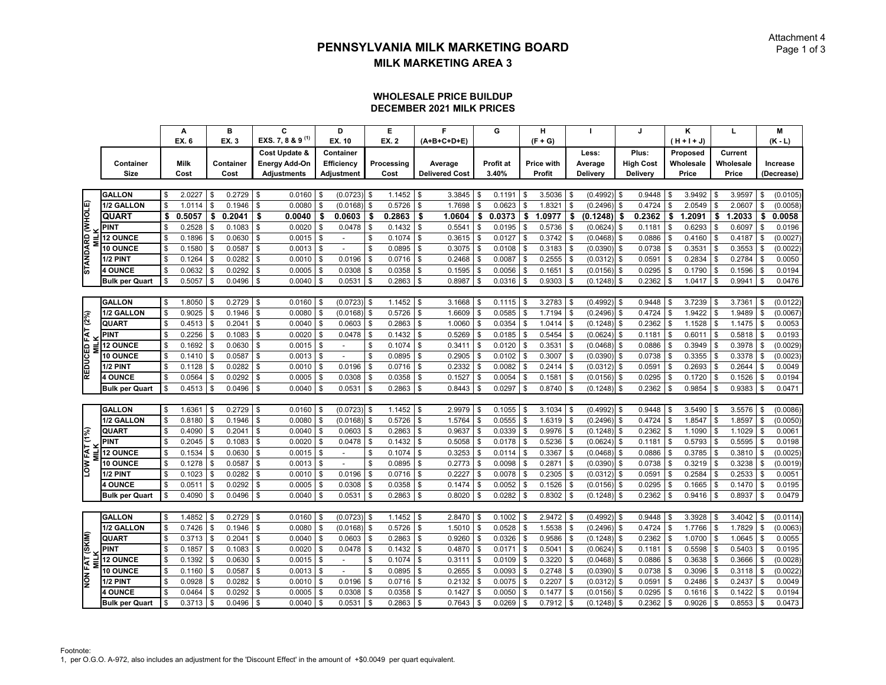#### **WHOLESALE PRICE BUILDUP DECEMBER 2021 MILK PRICES**

|                  |                       |          | A           |                | в         |              | C                            |          | D                 | Е            | F                     |               | G                | н            |              |               |      | J.               |              | ĸ             | L            |          | M          |
|------------------|-----------------------|----------|-------------|----------------|-----------|--------------|------------------------------|----------|-------------------|--------------|-----------------------|---------------|------------------|--------------|--------------|---------------|------|------------------|--------------|---------------|--------------|----------|------------|
|                  |                       |          | EX. 6       |                | EX. 3     |              | EXS. 7, 8 & 9 <sup>(1)</sup> |          | EX. 10            | <b>EX. 2</b> | (A+B+C+D+E)           |               |                  | $(F + G)$    |              |               |      |                  |              | $(H + H + J)$ |              |          | $(K - L)$  |
|                  |                       |          |             |                |           |              | Cost Update &                |          | Container         |              |                       |               |                  |              |              | Less:         |      | Plus:            |              | Proposed      | Current      |          |            |
|                  | Container             |          | <b>Milk</b> |                | Container |              | <b>Energy Add-On</b>         |          | <b>Efficiency</b> | Processing   | Average               |               | <b>Profit at</b> | Price with   |              | Average       |      | <b>High Cost</b> |              | Wholesale     | Wholesale    |          | Increase   |
|                  | <b>Size</b>           |          | Cost        |                | Cost      |              | <b>Adjustments</b>           |          | Adjustment        | Cost         | <b>Delivered Cost</b> |               | 3.40%            | Profit       |              | Delivery      |      | Delivery         |              | Price         | Price        |          | (Decrease) |
|                  |                       |          |             |                |           |              |                              |          |                   |              |                       |               |                  |              |              |               |      |                  |              |               |              |          |            |
|                  | <b>GALLON</b>         | \$       | 2.0227      | \$             | 0.2729    | \$           | 0.0160                       | \$       | (0.0723)          | \$<br>1.1452 | \$<br>3.3845          | \$            | 0.1191           | \$<br>3.5036 | \$           | (0.4992)      | - \$ | 0.9448           |              | 3.9492        | \$<br>3.9597 | \$       | (0.0105)   |
|                  | 1/2 GALLON            | \$       | 1.0114      | \$             | 0.1946    | \$           | 0.0080                       |          | (0.0168)          | \$<br>0.5726 | \$<br>1.7698          | \$            | 0.0623           | \$<br>1.8321 | \$           | (0.2496)      | \$   | 0.4724           |              | 2.0549        | \$<br>2.0607 | \$       | (0.0058)   |
|                  | <b>QUART</b>          | \$       | 0.5057      | \$             | 0.2041    | \$           | 0.0040                       | \$       | 0.0603            | \$<br>0.2863 | \$<br>1.0604          | \$            | 0.0373           | \$<br>1.0977 | Ŝ.           | (0.1248)      | \$   | 0.2362           | \$           | 1.2091        | \$<br>1.2033 | \$       | 0.0058     |
| STANDARD (WHOLE) | <b>PINT</b>           |          | 0.2528      | \$             | 0.1083    | \$           | 0.0020                       |          | 0.0478            | \$<br>0.1432 | \$<br>0.5541          | \$            | 0.0195           | \$<br>0.5736 | $\mathbf{s}$ | (0.0624)      | Я.   | 0.1181           | \$           | 0.6293        | \$<br>0.6097 | -S       | 0.0196     |
|                  | <b>12 OUNCE</b>       | \$       | 0.1896      | \$             | 0.0630    | \$           | 0.0015                       |          | $\blacksquare$    | \$<br>0.1074 | \$<br>0.3615          | \$            | 0.0127           | \$<br>0.3742 | $\mathbf{s}$ | (0.0468)      |      | 0.0886           |              | 0.4160        | \$<br>0.4187 | \$       | (0.0027)   |
|                  | 10 OUNCE              | \$       | 0.1580      | $\mathfrak{S}$ | 0.0587    | \$           | 0.0013                       |          |                   | \$<br>0.0895 | \$<br>0.3075          | \$            | 0.0108           | \$<br>0.3183 | $\mathbf{s}$ | (0.0390)      |      | 0.0738           |              | 0.3531        | \$<br>0.3553 | \$       | (0.0022)   |
|                  | 1/2 PINT              | \$       | 0.1264      | \$             | 0.0282    | \$           | 0.0010                       | -S       | 0.0196            | \$<br>0.0716 | \$<br>0.2468          | \$            | 0.0087           | \$<br>0.2555 | \$           | (0.0312)      | \$   | 0.0591           | \$.          | 0.2834        | \$<br>0.2784 | Ŝ.       | 0.0050     |
|                  | <b>4 OUNCE</b>        |          | 0.0632      | \$             | 0.0292    | \$           | 0.0005                       |          | 0.0308            | \$<br>0.0358 | \$<br>0.1595          | \$            | 0.0056           | \$<br>0.1651 | S            | (0.0156)      | \$   | 0.0295           |              | 0.1790        | \$<br>0.1596 | \$       | 0.0194     |
|                  | <b>Bulk per Quart</b> |          | 0.5057      | \$             | 0.0496    | \$           | 0.0040                       |          | 0.0531            | \$<br>0.2863 | \$<br>0.8987          | \$            | 0.0316           | \$<br>0.9303 | S            | (0.1248)      | \$   | 0.2362           |              | 1.0417        | \$<br>0.9941 | \$       | 0.0476     |
|                  |                       |          |             |                |           |              |                              |          |                   |              |                       |               |                  |              |              |               |      |                  |              |               |              |          |            |
|                  | <b>GALLON</b>         | \$       | 1.8050      | \$             | 0.2729    | \$           | 0.0160                       |          | (0.0723)          | \$<br>1.1452 | \$<br>3.1668          | \$            | 0.1115           | \$<br>3.2783 | \$           | $(0.4992)$ \$ |      | 0.9448           |              | 3.7239        | \$<br>3.7361 | <b>S</b> | (0.0122)   |
|                  | 1/2 GALLON            | <b>S</b> | 0.9025      | \$             | 0.1946    | \$           | 0.0080                       |          | (0.0168)          | \$<br>0.5726 | \$<br>1.6609          | \$            | 0.0585           | \$<br>1.7194 | $\mathbf{s}$ | (0.2496)      | £    | 0.4724           |              | 1.9422        | \$<br>1.9489 | \$       | (0.0067)   |
| REDUCED FAT (2%) | QUART                 |          | 0.4513      | \$             | 0.2041    | \$           | 0.0040                       |          | 0.0603            | \$<br>0.2863 | \$<br>1.0060          | \$            | 0.0354           | \$<br>1.0414 | S            | (0.1248)      | \$   | 0.2362           | \$.          | 1.1528        | \$<br>1.1475 | Ŝ.       | 0.0053     |
|                  | <b>PINT</b>           |          | 0.2256      | \$             | 0.1083    | \$           | 0.0020                       |          | 0.0478            | \$<br>0.1432 | \$<br>0.5269          | \$            | 0.0185           | \$<br>0.5454 | \$           | (0.0624)      | \$   | 0.1181           |              | 0.6011        | \$<br>0.5818 | \$       | 0.0193     |
|                  | <b>12 OUNCE</b>       | \$       | 0.1692      | \$             | 0.0630    | \$           | 0.0015                       | \$       | $\overline{a}$    | \$<br>0.1074 | \$<br>0.3411          | \$            | 0.0120           | \$<br>0.3531 | S            | (0.0468)      | \$   | 0.0886           |              | 0.3949        | \$<br>0.3978 | Ŝ.       | (0.0029)   |
|                  | <b>10 OUNCE</b>       |          | 0.1410      | \$             | 0.0587    | \$           | 0.0013                       |          |                   | \$<br>0.0895 | \$<br>0.2905          | \$            | 0.0102           | \$<br>0.3007 | \$           | (0.0390)      |      | 0.0738           |              | 0.3355        | \$<br>0.3378 | . ፍ      | (0.0023)   |
|                  | 1/2 PINT              |          | 0.1128      | \$             | 0.0282    | \$           | 0.0010                       |          | 0.0196            | \$<br>0.0716 | \$<br>0.2332          | \$            | 0.0082           | \$<br>0.2414 | \$           | (0.0312)      | \$.  | 0.0591           |              | 0.2693        | \$<br>0.2644 | Ŝ.       | 0.0049     |
|                  | <b>4 OUNCE</b>        | \$       | 0.0564      | <b>\$</b>      | 0.0292    | $\mathsf{s}$ | 0.0005                       | -S       | 0.0308            | \$<br>0.0358 | \$<br>0.1527          | $\mathfrak s$ | 0.0054           | \$<br>0.1581 | \$           | (0.0156)      | £    | 0.0295           | $\mathbf{R}$ | 0.1720        | \$<br>0.1526 | \$       | 0.0194     |
|                  | <b>Bulk per Quart</b> | Ŝ.       | 0.4513      | \$             | 0.0496    | l \$         | 0.0040                       |          | 0.0531            | \$<br>0.2863 | \$<br>0.8443          | \$            | 0.0297           | \$<br>0.8740 | \$           | (0.1248)      | \$   | 0.2362           | \$.          | 0.9854        | \$<br>0.9383 | <b>S</b> | 0.0471     |
|                  |                       |          |             |                |           |              |                              |          |                   |              |                       |               |                  |              |              |               |      |                  |              |               |              |          |            |
|                  | <b>GALLON</b>         | -S       | 1.6361      | <b>S</b>       | 0.2729    | l \$         | 0.0160                       | <b>S</b> | (0.0723)          | \$<br>1.1452 | \$<br>2.9979          | \$            | $0.1055$ \$      | 3.1034       | \$           | (0.4992)      | l \$ | 0.9448           | \$           | 3.5490        | \$<br>3.5576 | \$       | (0.0086)   |
|                  | 1/2 GALLON            | \$       | 0.8180      | \$             | 0.1946    | \$           | 0.0080                       |          | (0.0168)          | \$<br>0.5726 | \$<br>1.5764          | \$            | 0.0555           | \$<br>1.6319 | S            | (0.2496)      | £    | 0.4724           |              | 1.8547        | \$<br>1.8597 | \$       | (0.0050)   |
|                  | QUART                 |          | 0.4090      |                | 0.2041    | \$           | 0.0040                       |          | 0.0603            | \$<br>0.2863 | \$<br>0.9637          | \$            | 0.0339           | \$<br>0.9976 | S            | (0.1248)      |      | 0.2362           |              | 1.1090        | \$<br>1.1029 | Ŝ.       | 0.0061     |
|                  | <b>PINT</b>           | \$       | 0.2045      | \$             | 0.1083    | \$           | 0.0020                       | \$       | 0.0478            | \$<br>0.1432 | \$<br>0.5058          | $\mathfrak s$ | 0.0178           | \$<br>0.5236 | \$           | (0.0624)      | \$   | 0.1181           | \$           | 0.5793        | \$<br>0.5595 | \$       | 0.0198     |
| LOW FAT (1%)     | <b>12 OUNCE</b>       | \$       | 0.1534      | \$             | 0.0630    | \$           | 0.0015                       |          |                   | \$<br>0.1074 | \$<br>0.3253          | \$            | 0.0114           | \$<br>0.3367 | S            | (0.0468)      | £    | 0.0886           |              | 0.3785        | \$<br>0.3810 | Ŝ.       | (0.0025)   |
|                  | <b>10 OUNCE</b>       | \$       | 0.1278      | \$             | 0.0587    | \$           | 0.0013                       | \$       |                   | \$<br>0.0895 | \$<br>0.2773          | \$            | 0.0098           | \$<br>0.2871 | S            | (0.0390)      | £    | 0.0738           |              | 0.3219        | \$<br>0.3238 | Ŝ.       | (0.0019)   |
|                  | 1/2 PINT              | \$       | 0.1023      | \$             | 0.0282    | \$           | 0.0010                       | \$       | 0.0196            | \$<br>0.0716 | \$<br>0.2227          | \$            | 0.0078           | \$<br>0.2305 | \$           | (0.0312)      | \$   | 0.0591           |              | 0.2584        | \$<br>0.2533 | <b>S</b> | 0.0051     |
|                  | <b>4 OUNCE</b>        |          | 0.0511      | \$             | 0.0292    | \$           | 0.0005                       |          | 0.0308            | \$<br>0.0358 | \$<br>0.1474          | \$            | 0.0052           | \$<br>0.1526 | $\mathbf{s}$ | (0.0156)      | \$   | 0.0295           |              | 0.1665        | \$<br>0.1470 | Ŝ.       | 0.0195     |
|                  | <b>Bulk per Quart</b> |          | 0.4090      |                | 0.0496    | \$           | 0.0040                       | \$       | 0.0531            | \$<br>0.2863 | \$<br>0.8020          | \$            | 0.0282           | 0.8302       | \$           | (0.1248)      | \$   | 0.2362           |              | 0.9416        | \$<br>0.8937 | -S       | 0.0479     |
|                  |                       |          |             |                |           |              |                              |          |                   |              |                       |               |                  |              |              |               |      |                  |              |               |              |          |            |
|                  | <b>GALLON</b>         | Ŝ.       | 1.4852      | \$             | 0.2729    | \$           | 0.0160                       |          | (0.0723)          | \$<br>1.1452 | \$<br>2.8470          | \$            | 0.1002           | \$<br>2.9472 | -9           | (0.4992)      | \$.  | 0.9448           |              | 3.3928        | \$<br>3.4042 | \$       | (0.0114)   |
|                  | 1/2 GALLON            |          | 0.7426      |                | 0.1946    | \$           | 0.0080                       |          | (0.0168)          | \$<br>0.5726 | \$<br>1.5010          | \$            | 0.0528           | 1.5538       | \$           | (0.2496)      | £    | 0.4724           |              | 1.7766        | \$<br>1.7829 | Ŝ.       | (0.0063)   |
|                  | QUART                 | \$       | 0.3713      | \$             | 0.2041    | \$           | 0.0040                       |          | 0.0603            | \$<br>0.2863 | \$<br>0.9260          | \$            | 0.0326           | \$<br>0.9586 | Ŝ.           | (0.1248)      | \$   | 0.2362           | \$           | 1.0700        | \$<br>1.0645 | l \$     | 0.0055     |
| NON FAT (SKIM)   | <b>PINT</b>           |          | 0.1857      | $\mathfrak{S}$ | 0.1083    | \$           | 0.0020                       |          | 0.0478            | \$<br>0.1432 | \$<br>0.4870          | \$            | 0.0171           | \$<br>0.5041 | $\mathbf{s}$ | (0.0624)      | \$   | 0.1181           |              | 0.5598        | \$<br>0.5403 | <b>S</b> | 0.0195     |
|                  | <b>12 OUNCE</b>       |          | 0.1392      |                | 0.0630    | \$           | 0.0015                       |          |                   | \$<br>0.1074 | \$<br>0.3111          | \$            | 0.0109           | 0.3220       | \$           | (0.0468)      |      | 0.0886           |              | 0.3638        | 0.3666       |          | (0.0028)   |
|                  | <b>10 OUNCE</b>       | \$       | 0.1160      | \$             | 0.0587    | \$           | 0.0013                       | \$       | $\sim$            | \$<br>0.0895 | \$<br>0.2655          | \$            | 0.0093           | \$<br>0.2748 | \$           | (0.0390)      | S    | 0.0738           | \$.          | 0.3096        | \$<br>0.3118 | \$       | (0.0022)   |
|                  | 1/2 PINT              | \$       | 0.0928      | \$             | 0.0282    | \$           | 0.0010                       |          | 0.0196            | \$<br>0.0716 | \$<br>0.2132          | \$            | 0.0075           | \$<br>0.2207 | $\mathbf{s}$ | (0.0312)      | \$   | 0.0591           |              | 0.2486        | \$<br>0.2437 | \$       | 0.0049     |
|                  | <b>4 OUNCE</b>        |          | 0.0464      |                | 0.0292    | \$           | 0.0005                       |          | 0.0308            | \$<br>0.0358 | \$<br>0.1427          | \$            | 0.0050           | 0.1477       | \$           | (0.0156)      |      | 0.0295           |              | 0.1616        | 0.1422       |          | 0.0194     |
|                  | <b>Bulk per Quart</b> |          | 0.3713      | \$             | 0.0496    | \$           | 0.0040                       |          | 0.0531            | \$<br>0.2863 | \$<br>0.7643          | \$            | 0.0269           | \$<br>0.7912 | \$           | (0.1248)      | \$   | 0.2362           |              | 0.9026        | \$<br>0.8553 |          | 0.0473     |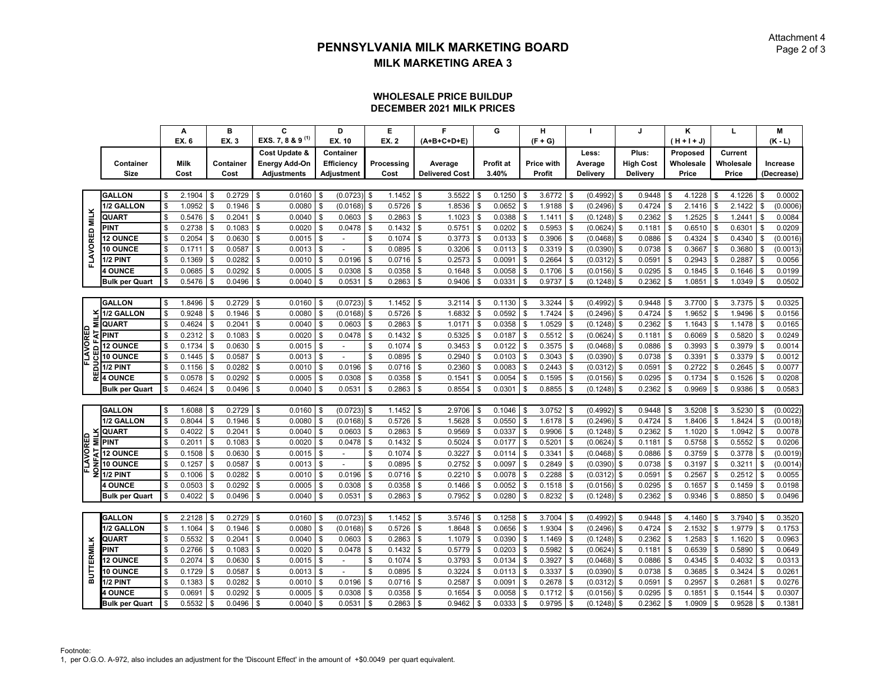#### **WHOLESALE PRICE BUILDUP DECEMBER 2021 MILK PRICES**

|                      |                       |                           | А           |               | в         |                | C                            |                           | D                        |              | Е            |               | F                     |               | G         |     | н           |              |               |               | J                |      | Κ             | L            |          | M          |
|----------------------|-----------------------|---------------------------|-------------|---------------|-----------|----------------|------------------------------|---------------------------|--------------------------|--------------|--------------|---------------|-----------------------|---------------|-----------|-----|-------------|--------------|---------------|---------------|------------------|------|---------------|--------------|----------|------------|
|                      |                       |                           | EX. 6       |               | EX. 3     |                | EXS. 7, 8 & 9 <sup>(1)</sup> |                           | EX. 10                   |              | <b>EX. 2</b> |               | (A+B+C+D+E)           |               |           |     | $(F + G)$   |              |               |               |                  |      | $(H + H + J)$ |              |          | $(K - L)$  |
|                      |                       |                           |             |               |           |                | Cost Update &                |                           | Container                |              |              |               |                       |               |           |     |             |              | Less:         |               | Plus:            |      | Proposed      | Current      |          |            |
|                      | Container             |                           | <b>Milk</b> |               | Container |                | <b>Energy Add-On</b>         |                           | Efficiency               |              | Processing   |               | Average               |               | Profit at |     | Price with  |              | Average       |               | <b>High Cost</b> |      | Wholesale     | Wholesale    |          | Increase   |
|                      | Size                  |                           | Cost        |               | Cost      |                | <b>Adjustments</b>           |                           | Adjustment               |              | Cost         |               | <b>Delivered Cost</b> |               | 3.40%     |     | Profit      |              | Delivery      |               | Delivery         |      | Price         | Price        |          | (Decrease) |
|                      |                       |                           |             |               |           |                |                              |                           |                          |              |              |               |                       |               |           |     |             |              |               |               |                  |      |               |              |          |            |
|                      | <b>GALLON</b>         | \$                        | 2.1904      | l \$          | 0.2729    | \$             | 0.0160                       | \$                        | $(0.0723)$ \$            |              | 1.1452       | $\mathbb{S}$  | 3.5522                | \$            | 0.1250    | \$  | $3.6772$ \$ |              | (0.4992)      | $\sqrt{3}$    | 0.9448           | -\$  | 4.1228        | \$<br>4.1226 | Ŝ.       | 0.0002     |
|                      | 1/2 GALLON            | $\boldsymbol{\mathsf{S}}$ | 1.0952      | \$            | 0.1946    | \$             | 0.0080                       | \$                        | (0.0168)                 | \$           | 0.5726       | \$            | 1.8536                | \$            | 0.0652    |     | 1.9188      | \$           | (0.2496)      | \$            | 0.4724           |      | 2.1416        | \$<br>2.1422 | \$       | (0.0006)   |
| <b>MILK</b>          | QUART                 | \$                        | 0.5476      | \$            | 0.2041    | \$             | 0.0040                       | \$                        | 0.0603                   | S            | 0.2863       | \$            | 1.1023                | \$            | 0.0388    |     | 1.1411      | \$           | (0.1248)      | \$            | 0.2362           |      | 1.2525        | \$<br>1.2441 | \$       | 0.0084     |
|                      | <b>PINT</b>           | \$                        | 0.2738      | \$            | 0.1083    | \$             | 0.0020                       | \$                        | 0.0478                   | Ŝ.           | 0.1432       | \$            | 0.5751                | \$            | 0.0202    | Ŝ.  | 0.5953      | \$           | (0.0624)      | - \$          | 0.1181           |      | 0.6510        | \$<br>0.6301 | Ŝ.       | 0.0209     |
| FLAVORED             | <b>12 OUNCE</b>       | \$                        | 0.2054      | \$            | 0.0630    | \$             | 0.0015                       | \$                        |                          | \$           | 0.1074       | \$            | 0.3773                | \$            | 0.0133    |     | 0.3906      | $\mathbf{s}$ | (0.0468)      | \$            | 0.0886           |      | 0.4324        | \$<br>0.4340 | <b>S</b> | (0.0016)   |
|                      | 10 OUNCE              | S                         | 0.1711      | \$            | 0.0587    | \$             | 0.0013                       | Ŝ                         |                          |              | 0.0895       | \$            | 0.3206                |               | 0.0113    |     | 0.3319      | \$           | (0.0390)      | S.            | 0.0738           |      | 0.3667        | \$<br>0.3680 |          | (0.0013)   |
|                      | 1/2 PINT              | \$                        | 0.1369      | \$            | 0.0282    | \$             | 0.0010                       | \$                        | 0.0196                   | Ŝ.           | 0.0716       | \$            | 0.2573                | \$            | 0.0091    | \$  | 0.2664      | \$           | (0.0312)      | \$            | 0.0591           |      | 0.2943        | \$<br>0.2887 | Ŝ.       | 0.0056     |
|                      | <b>4 OUNCE</b>        | \$                        | 0.0685      | \$            | 0.0292    | \$             | 0.0005                       | \$                        | 0.0308                   | \$           | 0.0358       | \$            | 0.1648                | \$            | 0.0058    |     | 0.1706      | \$           | (0.0156)      | \$            | 0.0295           |      | 0.1845        | \$<br>0.1646 | Ŝ.       | 0.0199     |
|                      | <b>Bulk per Quart</b> | S                         | 0.5476      | \$            | 0.0496    | \$             | 0.0040                       | S                         | 0.0531                   |              | 0.2863       | \$            | 0.9406                | \$            | 0.0331    |     | 0.9737      | \$           | (0.1248)      | - \$          | 0.2362           |      | 1.0851        | \$<br>1.0349 | -9       | 0.0502     |
|                      |                       |                           |             |               |           |                |                              |                           |                          |              |              |               |                       |               |           |     |             |              |               |               |                  |      |               |              |          |            |
|                      | <b>GALLON</b>         | \$                        | 1.8496      | \$            | 0.2729    | \$             | 0.0160                       | \$                        | (0.0723)                 | Ŝ.           | 1.1452       | \$            | 3.2114                | \$            | 0.1130    | \$  | 3.3244      | -S           | $(0.4992)$ \$ |               | 0.9448           |      | 3.7700        | \$<br>3.7375 | Ŝ.       | 0.0325     |
|                      | 1/2 GALLON            | \$                        | 0.9248      | \$            | 0.1946    | \$             | 0.0080                       | 9                         | (0.0168)                 | \$           | 0.5726       | \$            | 1.6832                | \$            | 0.0592    |     | 1.7424      | \$           | (0.2496)      | - \$          | 0.4724           |      | 1.9652        | \$<br>1.9496 | \$       | 0.0156     |
| Σ                    | <b>QUART</b>          | \$                        | 0.4624      | \$            | 0.2041    | \$             | 0.0040                       | S                         | 0.0603                   | Ŝ.           | 0.2863       | \$            | 1.0171                | \$            | 0.0358    | \$  | 1.0529      | \$           | (0.1248)      | - \$          | 0.2362           |      | 1.1643        | \$<br>1.1478 | \$       | 0.0165     |
| 7                    | PINT                  | \$                        | 0.2312      | \$            | 0.1083    | \$             | 0.0020                       | \$                        | 0.0478                   | <b>S</b>     | 0.1432       | \$            | 0.5325                | \$            | 0.0187    | S   | 0.5512      | $\mathbf{s}$ | (0.0624)      | - \$          | 0.1181           |      | 0.6069        | \$<br>0.5820 | Ŝ.       | 0.0249     |
| <b>FLAVORED</b><br>ò | <b>12 OUNCE</b>       | $\boldsymbol{\mathsf{S}}$ | 0.1734      | \$            | 0.0630    | \$             | 0.0015                       | \$                        |                          |              | 0.1074       | \$            | 0.3453                | \$            | 0.0122    |     | 0.3575      | \$           | (0.0468)      | \$            | 0.0886           |      | 0.3993        | \$<br>0.3979 | \$       | 0.0014     |
| 5                    | <b>10 OUNCE</b>       | \$                        | 0.1445      | \$            | 0.0587    | \$             | 0.0013                       | \$                        |                          | \$           | 0.0895       | \$            | 0.2940                | \$            | 0.0103    | \$. | 0.3043      | \$           | (0.0390)      | \$            | 0.0738           |      | 0.3391        | \$<br>0.3379 | Ŝ.       | 0.0012     |
| 2                    | 1/2 PINT              | \$                        | 0.1156      | $\sqrt{3}$    | 0.0282    | \$             | 0.0010                       | S                         | 0.0196                   | \$           | 0.0716       | \$            | 0.2360                | \$            | 0.0083    |     | 0.2443      | \$           | (0.0312)      | \$            | 0.0591           |      | 0.2722        | \$<br>0.2645 | \$       | 0.0077     |
| 쀭                    | <b>4 OUNCE</b>        | \$                        | 0.0578      | \$            | 0.0292    | \$             | 0.0005                       | S                         | 0.0308                   |              | 0.0358       | \$            | 0.1541                | \$            | 0.0054    |     | 0.1595      | \$           | (0.0156)      | \$            | 0.0295           |      | 0.1734        | \$<br>0.1526 | Ŝ.       | 0.0208     |
|                      | <b>Bulk per Quart</b> | \$                        | 0.4624      | $\mathbb{S}$  | 0.0496    | \$             | 0.0040                       | \$                        | 0.0531                   | \$.          | 0.2863       | \$            | 0.8554                | \$            | 0.0301    |     | 0.8855      | \$           | (0.1248)      | \$            | 0.2362           |      | 0.9969        | \$<br>0.9386 | Ŝ.       | 0.0583     |
|                      |                       |                           |             |               |           |                |                              |                           |                          |              |              |               |                       |               |           |     |             |              |               |               |                  |      |               |              |          |            |
|                      | <b>GALLON</b>         | \$                        | 1.6088      | \$            | 0.2729    | \$             | 0.0160                       | g                         | (0.0723)                 | \$           | 1.1452       | \$            | 2.9706                | \$            | 0.1046    |     | 3.0752      | \$           | (0.4992)      | \$            | 0.9448           |      | 3.5208        | \$<br>3.5230 | Ŝ.       | (0.0022)   |
|                      | 1/2 GALLON            | \$                        | 0.8044      | $\mathfrak s$ | 0.1946    | \$             | 0.0080                       | \$                        | (0.0168)                 | \$           | 0.5726       | $\mathfrak s$ | 1.5628                | \$            | 0.0550    | \$  | 1.6178      | \$           | (0.2496)      | \$            | 0.4724           | \$   | 1.8406        | \$<br>1.8424 | \$       | (0.0018)   |
|                      | <b>QUART</b>          | \$                        | 0.4022      | \$            | 0.2041    | \$             | 0.0040                       | \$                        | 0.0603                   | \$           | 0.2863       | \$            | 0.9569                | \$            | 0.0337    |     | 0.9906      | \$           | (0.1248)      | - \$          | 0.2362           |      | 1.1020        | \$<br>1.0942 | \$       | 0.0078     |
|                      | ≣ PINT                | \$                        | 0.2011      | $\sqrt{3}$    | 0.1083    | \$             | 0.0020                       | \$                        | 0.0478                   |              | 0.1432       | \$            | 0.5024                | \$            | 0.0177    |     | 0.5201      | \$           | (0.0624)      | $\mathcal{S}$ | 0.1181           |      | 0.5758        | \$<br>0.5552 | \$       | 0.0206     |
| ₹                    | <b>12 OUNCE</b>       | \$                        | 0.1508      | \$            | 0.0630    | \$             | 0.0015                       | \$                        |                          | S            | 0.1074       | \$            | 0.3227                | \$            | 0.0114    | \$  | 0.3341      | \$           | (0.0468)      | \$            | 0.0886           |      | 0.3759        | \$<br>0.3778 | \$       | (0.0019)   |
| FLAVORED<br>e<br>So  | <b>10 OUNCE</b>       | <b>S</b>                  | 0.1257      | \$            | 0.0587    | \$             | 0.0013                       | Ŝ.                        | $\mathbf{r}$             | \$           | 0.0895       | \$            | 0.2752                | \$            | 0.0097    |     | 0.2849      | \$           | (0.0390)      | - \$          | 0.0738           |      | 0.3197        | \$<br>0.3211 | \$       | (0.0014)   |
|                      | <b>1/2 PINT</b>       | \$                        | 0.1006      | \$            | 0.0282    | \$             | 0.0010                       | S                         | 0.0196                   | $\mathbf{f}$ | 0.0716       | \$            | 0.2210                | \$            | 0.0078    |     | 0.2288      | \$           | (0.0312)      | \$            | 0.0591           |      | 0.2567        | \$<br>0.2512 | \$       | 0.0055     |
|                      | <b>4 OUNCE</b>        | \$                        | 0.0503      | \$            | 0.0292    | \$             | 0.0005                       | Ŝ                         | 0.0308                   | \$.          | 0.0358       | \$            | 0.1466                | \$            | 0.0052    | -S  | 0.1518      | \$           | (0.0156)      | \$            | 0.0295           |      | 0.1657        | \$<br>0.1459 | \$       | 0.0198     |
|                      | <b>Bulk per Quart</b> | \$                        | 0.4022      | \$            | 0.0496    | $\mathfrak{s}$ | 0.0040                       | \$                        | 0.0531                   | Ŝ.           | 0.2863       | \$            | 0.7952                | \$            | 0.0280    | Ŝ.  | 0.8232      | Ŝ.           | $(0.1248)$ \$ |               | 0.2362           |      | 0.9346        | \$<br>0.8850 | \$       | 0.0496     |
|                      |                       |                           |             |               |           |                |                              |                           |                          |              |              |               |                       |               |           |     |             |              |               |               |                  |      |               |              |          |            |
|                      | <b>GALLON</b>         | \$                        | 2.2128      | \$            | 0.2729    | \$             | 0.0160                       | -9                        | (0.0723)                 | \$           | 1.1452       | \$            | 3.5746                | \$            | 0.1258    |     | 3.7004      | Ŝ.           | (0.4992)      | \$            | 0.9448           |      | 4.1460        | \$<br>3.7940 | Ŝ.       | 0.3520     |
|                      | 1/2 GALLON            | \$                        | 1.1064      | \$            | 0.1946    | \$             | 0.0080                       | S                         | (0.0168)                 | Ŝ.           | 0.5726       | \$            | 1.8648                | \$            | 0.0656    |     | 1.9304      | \$           | (0.2496)      | \$            | 0.4724           |      | 2.1532        | \$<br>1.9779 | \$       | 0.1753     |
| <b>BUTTERMILK</b>    | QUART                 | \$                        | 0.5532      | \$            | 0.2041    | \$             | 0.0040                       | $\mathbf{s}$              | 0.0603                   | <b>S</b>     | 0.2863       | \$            | 1.1079                | \$            | 0.0390    | ٩   | 1.1469      | \$           | (0.1248)      | \$            | 0.2362           |      | 1.2583        | \$<br>1.1620 | <b>S</b> | 0.0963     |
|                      | <b>PINT</b>           | $\mathbf{s}$              | 0.2766      | \$            | 0.1083    | \$             | 0.0020                       |                           | 0.0478                   |              | 0.1432       | \$            | 0.5779                | \$            | 0.0203    |     | 0.5982      | \$           | (0.0624)      | Ŝ.            | 0.1181           |      | 0.6539        | \$<br>0.5890 |          | 0.0649     |
|                      | <b>12 OUNCE</b>       | \$                        | 0.2074      | \$            | 0.0630    | \$             | 0.0015                       | Ŝ                         | $\overline{\phantom{a}}$ | S            | 0.1074       | \$            | 0.3793                | \$            | 0.0134    |     | 0.3927      | \$           | (0.0468)      | -\$           | 0.0886           |      | 0.4345        | \$<br>0.4032 | Ŝ.       | 0.0313     |
|                      | <b>10 OUNCE</b>       | \$                        | $0.1729$ \$ |               | 0.0587    | \$             | 0.0013                       | \$                        |                          | \$           | 0.0895       | \$            | 0.3224                | \$            | 0.0113    | \$  | 0.3337      | <b>S</b>     | $(0.0390)$ \$ |               | 0.0738           | \$   | 0.3685        | \$<br>0.3424 | \$       | 0.0261     |
|                      | 1/2 PINT              | $\boldsymbol{\mathsf{S}}$ | 0.1383      | \$            | 0.0282    | \$             | 0.0010                       | \$                        | 0.0196                   | \$           | 0.0716       | \$            | 0.2587                | \$            | 0.0091    |     | 0.2678      | \$           | (0.0312)      | \$            | 0.0591           |      | 0.2957        | \$<br>0.2681 | \$       | 0.0276     |
|                      | <b>OUNCE</b>          | $\boldsymbol{\mathsf{S}}$ | 0.0691      | \$            | 0.0292    | \$             | 0.0005                       |                           | 0.0308                   |              | 0.0358       | \$            | 0.1654                | \$            | 0.0058    |     | 0.1712      | \$           | (0.0156)      | Ŝ.            | 0.0295           |      | 0.1851        | \$<br>0.1544 | \$       | 0.0307     |
|                      | <b>Bulk per Quart</b> | \$                        | 0.5532      | $\mathsf{s}$  | 0.0496    | \$             | 0.0040                       | $\boldsymbol{\mathsf{S}}$ | 0.0531                   | l s          | $0.2863$ \$  |               | 0.9462                | $\mathfrak s$ | 0.0333    | \$  | 0.9795      | \$           | $(0.1248)$ \$ |               | 0.2362           | l \$ | 1.0909        | \$<br>0.9528 | \$       | 0.1381     |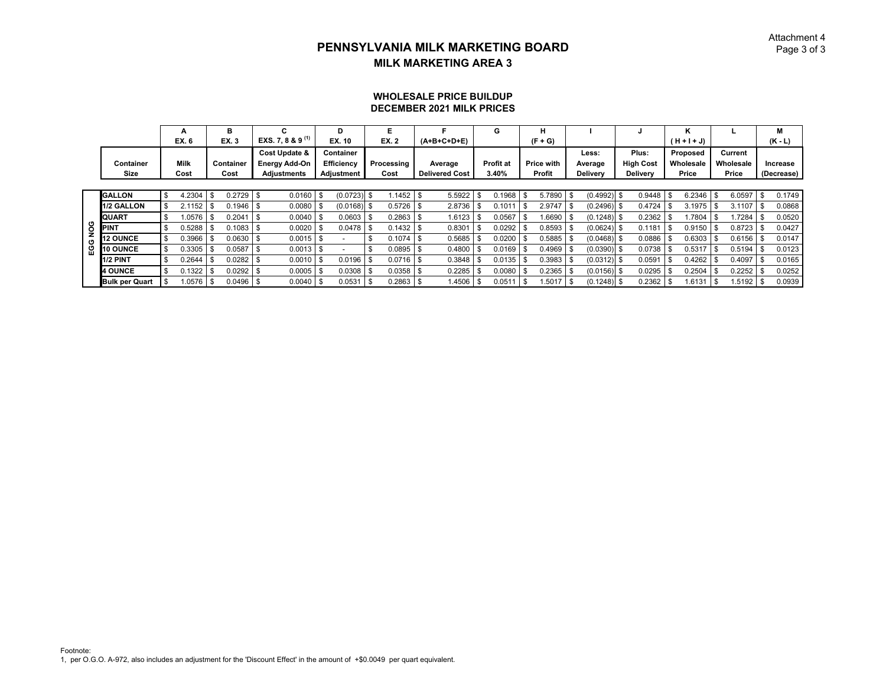#### Attachment 4 $\mathsf D$  Page 3 of 3

#### **WHOLESALE PRICE BUILDUP DECEMBER 2021 MILK PRICES**

|     |                       | А            | в                 | C.                           | D             |      | Е            |     |                       | G                | н          |   |                 |                  |      | ĸ           |     |             | м            |
|-----|-----------------------|--------------|-------------------|------------------------------|---------------|------|--------------|-----|-----------------------|------------------|------------|---|-----------------|------------------|------|-------------|-----|-------------|--------------|
|     |                       | EX. 6        | <b>EX.3</b>       | EXS. 7, 8 & 9 <sup>(1)</sup> | EX. 10        |      | <b>EX. 2</b> |     | $(A+B+C+D+E)$         |                  | $(F + G)$  |   |                 |                  |      | (H + I + J) |     |             | $(K - L)$    |
|     |                       |              |                   | <b>Cost Update &amp;</b>     | Container     |      |              |     |                       |                  |            |   | Less:           | Plus:            |      | Proposed    |     | Current     |              |
|     | Container             | <b>Milk</b>  | Container         | <b>Energy Add-On</b>         | Efficiency    |      | Processing   |     | Average               | <b>Profit at</b> | Price with |   | Average         | <b>High Cost</b> |      | Wholesale   |     | Wholesale   | Increase     |
|     | Size                  | Cost         | Cost              | <b>Adjustments</b>           | Adjustment    |      | Cost         |     | <b>Delivered Cost</b> | 3.40%            | Profit     |   | <b>Delivery</b> | <b>Delivery</b>  |      | Price       |     | Price       | (Decrease)   |
|     |                       |              |                   |                              |               |      |              |     |                       |                  |            |   |                 |                  |      |             |     |             |              |
|     | <b>GALLON</b>         | \$<br>4.2304 | \$<br>0.2729      | $0.0160$ \$                  | (0.0723)      | \$   | .1452        | \$. | 5.5922                | 0.1968           | 5.7890     | S | $(0.4992)$ \$   | 0.9448           | l \$ | 6.2346      | -\$ | 6.0597      | \$<br>0.1749 |
|     | 1/2 GALLON            | 2.1152       | \$<br>0.1946      | $0.0080$ \$                  | $(0.0168)$ \$ |      | 0.5726       |     | 2.8736                | 0.1011           | 2.9747     |   | $(0.2496)$ \$   | 0.4724           |      | 3.1975      |     | 3.1107      | 0.0868       |
|     | QUART                 | 1.0576       | \$<br>0.2041      | $0.0040$ \$                  | 0.0603        | -9   | 0.2863       |     | 1.6123                | 0.0567           | 1.6690     |   | $(0.1248)$ \$   | 0.2362           |      | .7804       |     | 1.7284      | 0.0520       |
| 9g  | <b>PINT</b>           | 0.5288       | \$<br>0.1083      | $0.0020$ \$                  | $0.0478$ \$   |      | 0.1432       |     | 0.8301                | 0.0292           | 0.8593     |   | $(0.0624)$ \$   | 0.1181           |      | 0.9150      |     | $0.8723$ \$ | 0.0427       |
| O   | <b>12 OUNCE</b>       | 0.3966       | \$<br>0.0630      | 0.0015                       |               |      | 0.1074       |     | 0.5685                | 0.0200           | 0.5885     |   | $(0.0468)$ \$   | 0.0886           |      | 0.6303      |     | 0.6156      | 0.0147       |
| ပ္မ | 10 OUNCE              | 0.3305       | \$<br>0.0587      | 0.0013                       |               |      | 0.0895       |     | 0.4800                | 0.0169           | 0.4969     |   | $(0.0390)$ \$   | 0.0738           |      | 0.5317      |     | 0.5194      | 0.0123       |
|     | <b>1/2 PINT</b>       | \$<br>0.2644 | \$<br>0.0282      | $0.0010$ \$                  | 0.0196        | -9   | 0.0716       |     | 0.3848                | $0.0135$ \$      | 0.3983     |   | $(0.0312)$ \$   | 0.0591           |      | 0.4262      |     | 0.4097      | 0.0165       |
|     | <b>4 OUNCE</b>        | \$<br>0.1322 | \$<br>0.0292      | $0.0005$ \$                  | 0.0308        | -\$  | 0.0358       |     | 0.2285                | 0.0080           | 0.2365     |   | $(0.0156)$ \$   | 0.0295           |      | 0.2504      |     | 0.2252      | 0.0252       |
|     | <b>Bulk per Quart</b> | 1.0576       | \$<br>$0.0496$ \$ | $0.0040$ \$                  | 0.0531        | - \$ | 0.2863       |     | 1.4506                | 0.0511           | .5017      |   | $(0.1248)$ \$   | $0.2362$ \$      |      | .6131       |     | 1.5192      | 0.0939       |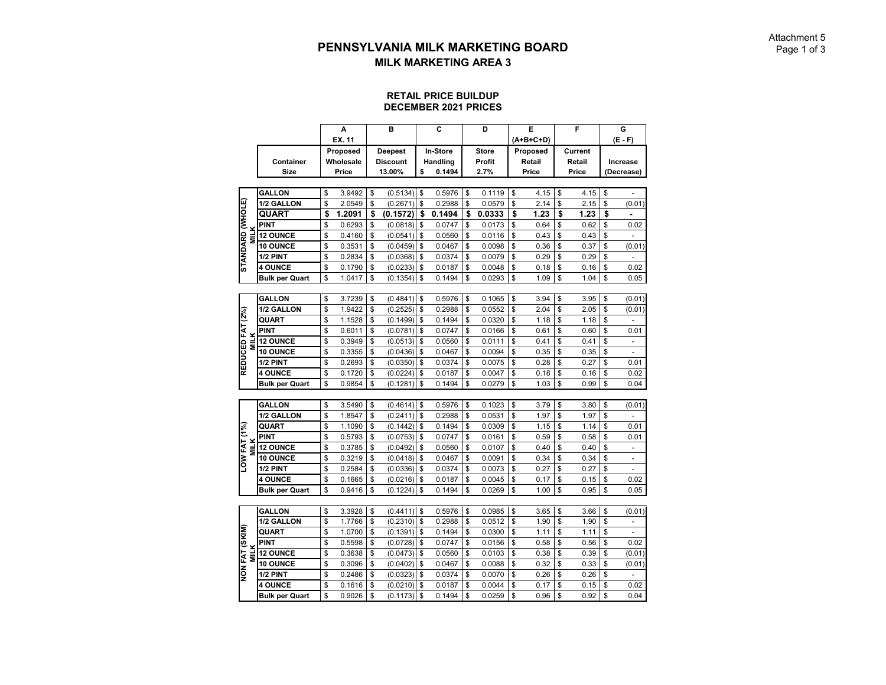#### **RETAIL PRICE BUILDUP DECEMBER 2021 PRICES**

|                                 |                       | A            | B               | C            | D            | Е          | F          | G                    |
|---------------------------------|-----------------------|--------------|-----------------|--------------|--------------|------------|------------|----------------------|
|                                 |                       | EX. 11       |                 |              |              | (A+B+C+D)  |            | $(E - F)$            |
|                                 |                       | Proposed     | <b>Deepest</b>  | In-Store     | <b>Store</b> | Proposed   | Current    |                      |
|                                 | Container             | Wholesale    | <b>Discount</b> | Handling     | Profit       | Retail     | Retail     | Increase             |
|                                 | Size                  | Price        | 13.00%          | \$<br>0.1494 | 2.7%         | Price      | Price      | (Decrease)           |
|                                 |                       |              |                 |              |              |            |            |                      |
|                                 | <b>GALLON</b>         | \$<br>3.9492 | \$<br>(0.5134)  | \$<br>0.5976 | \$<br>0.1119 | \$<br>4.15 | \$<br>4.15 | \$                   |
|                                 | 1/2 GALLON            | \$<br>2.0549 | \$<br>(0.2671)  | \$<br>0.2988 | \$<br>0.0579 | \$<br>2.14 | \$<br>2.15 | \$<br>(0.01)         |
| <b>(STANDARD (WHOLE</b>         | QUART                 | \$<br>1.2091 | \$<br>(0.1572)  | \$<br>0.1494 | \$<br>0.0333 | \$<br>1.23 | \$<br>1.23 | \$                   |
|                                 | <b>PINT</b>           | \$<br>0.6293 | \$<br>(0.0818)  | \$<br>0.0747 | \$<br>0.0173 | \$<br>0.64 | \$<br>0.62 | \$<br>0.02           |
| <b>MILK</b>                     | <b>12 OUNCE</b>       | \$<br>0.4160 | \$<br>(0.0541)  | \$<br>0.0560 | \$<br>0.0116 | \$<br>0.43 | \$<br>0.43 | \$                   |
|                                 | <b>10 OUNCE</b>       | \$<br>0.3531 | \$<br>(0.0459)  | \$<br>0.0467 | \$<br>0.0098 | \$<br>0.36 | \$<br>0.37 | \$<br>(0.01)         |
|                                 | 1/2 PINT              | \$<br>0.2834 | \$<br>(0.0368)  | \$<br>0.0374 | \$<br>0.0079 | \$<br>0.29 | \$<br>0.29 | \$                   |
|                                 | <b>4 OUNCE</b>        | \$<br>0.1790 | \$<br>(0.0233)  | \$<br>0.0187 | \$<br>0.0048 | \$<br>0.18 | \$<br>0.16 | \$<br>0.02           |
|                                 | <b>Bulk per Quart</b> | \$<br>1.0417 | \$<br>(0.1354)  | \$<br>0.1494 | \$<br>0.0293 | \$<br>1.09 | \$<br>1.04 | \$<br>0.05           |
|                                 |                       |              |                 |              |              |            |            |                      |
|                                 | <b>GALLON</b>         | \$<br>3.7239 | \$<br>(0.4841)  | \$<br>0.5976 | \$<br>0.1065 | \$<br>3.94 | \$<br>3.95 | \$<br>(0.01)         |
|                                 | 1/2 GALLON            | \$<br>1.9422 | \$<br>(0.2525)  | \$<br>0.2988 | \$<br>0.0552 | \$<br>2.04 | \$<br>2.05 | \$<br>(0.01)         |
|                                 | <b>QUART</b>          | \$<br>1.1528 | \$<br>(0.1499)  | \$<br>0.1494 | \$<br>0.0320 | \$<br>1.18 | \$<br>1.18 | \$                   |
|                                 | <b>PINT</b>           | \$<br>0.6011 | \$<br>(0.0781)  | \$<br>0.0747 | \$<br>0.0166 | \$<br>0.61 | \$<br>0.60 | \$<br>0.01           |
| REDUCED FAT (2%)<br><b>MILK</b> | <b>12 OUNCE</b>       | \$<br>0.3949 | \$<br>(0.0513)  | \$<br>0.0560 | \$<br>0.0111 | \$<br>0.41 | \$<br>0.41 | \$<br>÷,             |
|                                 | <b>10 OUNCE</b>       | \$<br>0.3355 | \$<br>(0.0436)  | \$<br>0.0467 | \$<br>0.0094 | \$<br>0.35 | \$<br>0.35 | \$                   |
|                                 | 1/2 PINT              | \$<br>0.2693 | \$<br>(0.0350)  | \$<br>0.0374 | \$<br>0.0075 | \$<br>0.28 | \$<br>0.27 | \$<br>0.01           |
|                                 | <b>4 OUNCE</b>        | \$<br>0.1720 | \$<br>(0.0224)  | \$<br>0.0187 | \$<br>0.0047 | \$<br>0.18 | \$<br>0.16 | \$<br>0.02           |
|                                 | <b>Bulk per Quart</b> | \$<br>0.9854 | \$<br>(0.1281)  | \$<br>0.1494 | \$<br>0.0279 | \$<br>1.03 | \$<br>0.99 | \$<br>0.04           |
|                                 |                       |              |                 |              |              |            |            |                      |
|                                 | <b>GALLON</b>         | \$<br>3.5490 | \$<br>(0.4614)  | \$<br>0.5976 | \$<br>0.1023 | \$<br>3.79 | \$<br>3.80 | \$<br>(0.01)         |
|                                 | 1/2 GALLON            | \$<br>1.8547 | \$<br>(0.2411)  | \$<br>0.2988 | \$<br>0.0531 | \$<br>1.97 | \$<br>1.97 | \$                   |
|                                 | QUART                 | \$<br>1.1090 | \$<br>(0.1442)  | \$<br>0.1494 | \$<br>0.0309 | \$<br>1.15 | \$<br>1.14 | \$<br>0.01           |
|                                 | PINT                  | \$<br>0.5793 | \$<br>(0.0753)  | \$<br>0.0747 | \$<br>0.0161 | \$<br>0.59 | \$<br>0.58 | \$<br>0.01           |
| <b>MILK</b>                     | <b>12 OUNCE</b>       | \$<br>0.3785 | \$<br>(0.0492)  | \$<br>0.0560 | \$<br>0.0107 | \$<br>0.40 | \$<br>0.40 | \$<br>$\overline{a}$ |
| LOW FAT (1%)                    | 10 OUNCE              | \$<br>0.3219 | \$<br>(0.0418)  | \$<br>0.0467 | \$<br>0.0091 | \$<br>0.34 | \$<br>0.34 | \$                   |
|                                 | 1/2 PINT              | \$<br>0.2584 | \$<br>(0.0336)  | \$<br>0.0374 | \$<br>0.0073 | \$<br>0.27 | \$<br>0.27 | \$                   |
|                                 | <b>4 OUNCE</b>        | \$<br>0.1665 | \$<br>(0.0216)  | \$<br>0.0187 | \$<br>0.0045 | \$<br>0.17 | \$<br>0.15 | \$<br>0.02           |
|                                 | <b>Bulk per Quart</b> | \$<br>0.9416 | \$<br>(0.1224)  | \$<br>0.1494 | \$<br>0.0269 | \$<br>1.00 | \$<br>0.95 | \$<br>0.05           |
|                                 |                       |              |                 |              |              |            |            |                      |
|                                 | <b>GALLON</b>         | \$<br>3.3928 | \$<br>(0.4411)  | \$<br>0.5976 | \$<br>0.0985 | \$<br>3.65 | \$<br>3.66 | \$<br>(0.01)         |
|                                 | 1/2 GALLON            | \$<br>1.7766 | \$<br>(0.2310)  | \$<br>0.2988 | \$<br>0.0512 | \$<br>1.90 | \$<br>1.90 | \$<br>$\overline{a}$ |
|                                 | QUART                 | \$<br>1.0700 | \$<br>(0.1391)  | \$<br>0.1494 | \$<br>0.0300 | \$<br>1.11 | \$<br>1.11 | \$                   |
|                                 | <b>PINT</b>           | \$<br>0.5598 | \$<br>(0.0728)  | \$<br>0.0747 | \$<br>0.0156 | \$<br>0.58 | \$<br>0.56 | \$<br>0.02           |
| <b>MILK</b>                     | <b>12 OUNCE</b>       | \$<br>0.3638 | \$<br>(0.0473)  | \$<br>0.0560 | \$<br>0.0103 | \$<br>0.38 | \$<br>0.39 | \$<br>(0.01)         |
|                                 | 10 OUNCE              | \$<br>0.3096 | \$<br>(0.0402)  | \$<br>0.0467 | \$<br>0.0088 | \$<br>0.32 | \$<br>0.33 | \$<br>(0.01)         |
| NON FAT (SKIM)                  | 1/2 PINT              | \$<br>0.2486 | \$<br>(0.0323)  | \$<br>0.0374 | \$<br>0.0070 | \$<br>0.26 | \$<br>0.26 | \$                   |
|                                 | <b>4 OUNCE</b>        | \$<br>0.1616 | \$<br>(0.0210)  | \$<br>0.0187 | \$<br>0.0044 | \$<br>0.17 | \$<br>0.15 | \$<br>0.02           |
|                                 | <b>Bulk per Quart</b> | \$<br>0.9026 | \$<br>(0.1173)  | \$<br>0.1494 | \$<br>0.0259 | \$<br>0.96 | \$<br>0.92 | \$<br>0.04           |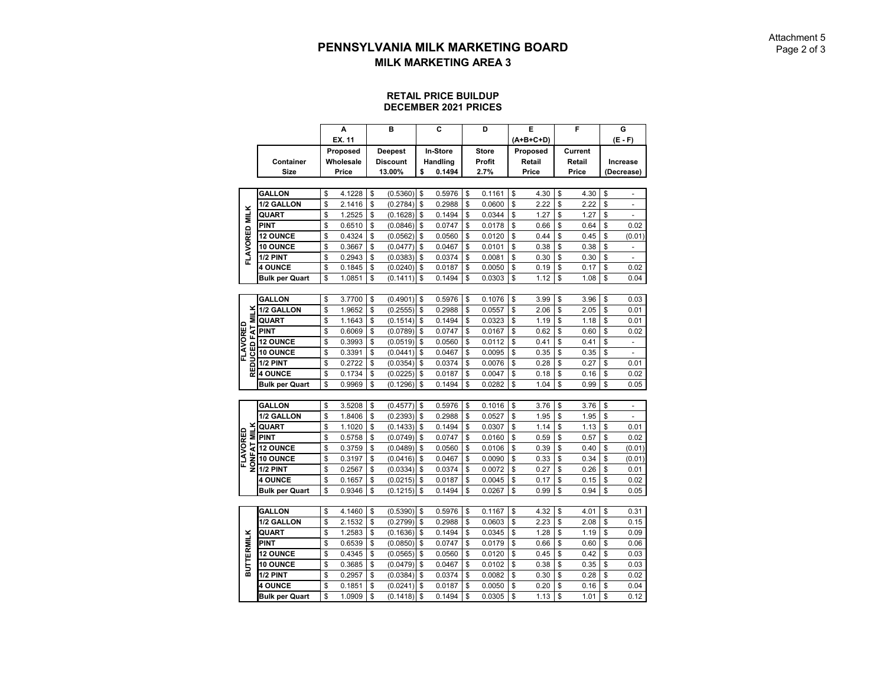#### **RETAIL PRICE BUILDUP DECEMBER 2021 PRICES**

|                   |                       | А            |          | в               | C            | D            | Е                  | F            | G                              |
|-------------------|-----------------------|--------------|----------|-----------------|--------------|--------------|--------------------|--------------|--------------------------------|
|                   |                       | EX. 11       |          |                 |              |              | (A+B+C+D)          |              | (E - F)                        |
|                   |                       | Proposed     |          | <b>Deepest</b>  | In-Store     | <b>Store</b> | Proposed           | Current      |                                |
|                   | Container             | Wholesale    |          | <b>Discount</b> | Handling     | Profit       | Retail             | Retail       | Increase                       |
|                   | Size                  | Price        |          | 13.00%          | \$<br>0.1494 | 2.7%         | Price              | <b>Price</b> | (Decrease)                     |
|                   |                       |              |          |                 |              |              |                    |              |                                |
|                   | <b>GALLON</b>         | \$<br>4.1228 | \$       | (0.5360)        | \$<br>0.5976 | \$<br>0.1161 | \$<br>4.30         | \$<br>4.30   | \$<br>÷,                       |
|                   | 1/2 GALLON            | \$<br>2.1416 | \$       | (0.2784)        | \$<br>0.2988 | \$<br>0.0600 | \$<br>2.22         | \$<br>2.22   | \$                             |
|                   | QUART                 | \$<br>1.2525 | \$       | (0.1628)        | \$<br>0.1494 | \$<br>0.0344 | \$<br>1.27         | \$<br>1.27   | \$<br>$\overline{a}$           |
|                   | <b>PINT</b>           |              |          |                 |              | \$           | \$                 | \$           | \$<br>0.02                     |
|                   |                       | \$<br>0.6510 | \$<br>\$ | (0.0846)        | \$<br>0.0747 | 0.0178       | \$<br>0.66<br>0.44 | 0.64         |                                |
| FLAVORED MILK     | <b>12 OUNCE</b>       | \$<br>0.4324 |          | (0.0562)        | \$<br>0.0560 | \$<br>0.0120 |                    | \$<br>0.45   | \$<br>(0.01)                   |
|                   | 10 OUNCE              | \$<br>0.3667 | \$       | (0.0477)        | \$<br>0.0467 | \$<br>0.0101 | \$<br>0.38         | \$<br>0.38   | \$<br>$\overline{\phantom{a}}$ |
|                   | 1/2 PINT              | \$<br>0.2943 | \$       | (0.0383)        | \$<br>0.0374 | \$<br>0.0081 | \$<br>0.30         | \$<br>0.30   | \$<br>÷,                       |
|                   | <b>4 OUNCE</b>        | \$<br>0.1845 | \$       | (0.0240)        | \$<br>0.0187 | \$<br>0.0050 | \$<br>0.19         | \$<br>0.17   | \$<br>0.02                     |
|                   | <b>Bulk per Quart</b> | \$<br>1.0851 | \$       | (0.1411)        | \$<br>0.1494 | \$<br>0.0303 | \$<br>1.12         | \$<br>1.08   | \$<br>0.04                     |
|                   |                       |              |          |                 |              |              |                    |              |                                |
|                   | <b>GALLON</b>         | \$<br>3.7700 | \$       | (0.4901)        | \$<br>0.5976 | \$<br>0.1076 | \$<br>3.99         | \$<br>3.96   | \$<br>0.03                     |
| š                 | 1/2 GALLON            | \$<br>1.9652 | \$       | (0.2555)        | \$<br>0.2988 | \$<br>0.0557 | \$<br>2.06         | \$<br>2.05   | \$<br>0.01                     |
| Ξ                 | QUART                 | \$<br>1.1643 | \$       | (0.1514)        | \$<br>0.1494 | \$<br>0.0323 | \$<br>1.19         | \$<br>1.18   | \$<br>0.01                     |
| FAT               | <b>PINT</b>           | \$<br>0.6069 | \$       | (0.0789)        | \$<br>0.0747 | \$<br>0.0167 | \$<br>0.62         | \$<br>0.60   | \$<br>0.02                     |
| FLAVORED          | <b>12 OUNCE</b>       | \$<br>0.3993 | \$       | (0.0519)        | \$<br>0.0560 | \$<br>0.0112 | \$<br>0.41         | \$<br>0.41   | \$<br>$\overline{\phantom{a}}$ |
| UCED              | 10 OUNCE              | \$<br>0.3391 | \$       | (0.0441)        | \$<br>0.0467 | \$<br>0.0095 | \$<br>0.35         | \$<br>0.35   | \$                             |
|                   | 1/2 PINT              | \$<br>0.2722 | \$       | (0.0354)        | \$<br>0.0374 | \$<br>0.0076 | \$<br>0.28         | \$<br>0.27   | \$<br>0.01                     |
| 品                 | <b>4 OUNCE</b>        | \$<br>0.1734 | \$       | (0.0225)        | \$<br>0.0187 | \$<br>0.0047 | \$<br>0.18         | \$<br>0.16   | \$<br>0.02                     |
|                   | <b>Bulk per Quart</b> | \$<br>0.9969 | \$       | (0.1296)        | \$<br>0.1494 | \$<br>0.0282 | \$<br>1.04         | \$<br>0.99   | \$<br>0.05                     |
|                   |                       |              |          |                 |              |              |                    |              |                                |
|                   | <b>GALLON</b>         | \$<br>3.5208 | \$       | (0.4577)        | \$<br>0.5976 | \$<br>0.1016 | \$<br>3.76         | \$<br>3.76   | \$                             |
|                   | 1/2 GALLON            | \$<br>1.8406 | \$       | (0.2393)        | \$<br>0.2988 | \$<br>0.0527 | \$<br>1.95         | \$<br>1.95   | \$                             |
|                   | QUART                 | \$<br>1.1020 | \$       | (0.1433)        | \$<br>0.1494 | \$<br>0.0307 | \$<br>1.14         | \$<br>1.13   | \$<br>0.01                     |
| <b>MILK</b>       | <b>PINT</b>           | \$<br>0.5758 | \$       | (0.0749)        | \$<br>0.0747 | \$<br>0.0160 | \$<br>0.59         | \$<br>0.57   | \$<br>0.02                     |
| FLAVORED          | <b>12 OUNCE</b>       | \$<br>0.3759 | \$       | (0.0489)        | \$<br>0.0560 | \$<br>0.0106 | \$<br>0.39         | \$<br>0.40   | \$<br>(0.01)                   |
| <b>NONFAT</b>     | 10 OUNCE              | \$<br>0.3197 | \$       | (0.0416)        | \$<br>0.0467 | \$<br>0.0090 | \$<br>0.33         | \$<br>0.34   | \$<br>(0.01)                   |
|                   | 1/2 PINT              | \$<br>0.2567 | \$       | (0.0334)        | \$<br>0.0374 | \$<br>0.0072 | \$<br>0.27         | \$<br>0.26   | \$<br>0.01                     |
|                   | <b>4 OUNCE</b>        | \$<br>0.1657 | \$       | (0.0215)        | \$<br>0.0187 | \$<br>0.0045 | \$<br>0.17         | \$<br>0.15   | \$<br>0.02                     |
|                   | <b>Bulk per Quart</b> | \$<br>0.9346 | \$       | (0.1215)        | \$<br>0.1494 | \$<br>0.0267 | \$<br>0.99         | \$<br>0.94   | \$<br>0.05                     |
|                   |                       |              |          |                 |              |              |                    |              |                                |
|                   | <b>GALLON</b>         | \$<br>4.1460 | \$       | (0.5390)        | \$<br>0.5976 | \$<br>0.1167 | \$<br>4.32         | \$<br>4.01   | \$<br>0.31                     |
|                   | 1/2 GALLON            | \$<br>2.1532 | \$       | (0.2799)        | \$<br>0.2988 | \$<br>0.0603 | \$<br>2.23         | \$<br>2.08   | \$<br>0.15                     |
|                   | QUART                 | \$<br>1.2583 | \$       | (0.1636)        | \$<br>0.1494 | \$<br>0.0345 | \$<br>1.28         | \$<br>1.19   | \$<br>0.09                     |
| <b>BUTTERMILK</b> | <b>PINT</b>           | \$<br>0.6539 | \$       | (0.0850)        | \$<br>0.0747 | \$<br>0.0179 | \$<br>0.66         | \$<br>0.60   | \$<br>0.06                     |
|                   | <b>12 OUNCE</b>       | \$<br>0.4345 | \$       | (0.0565)        | \$<br>0.0560 | \$<br>0.0120 | \$<br>0.45         | \$<br>0.42   | \$<br>0.03                     |
|                   |                       |              |          |                 |              |              |                    |              |                                |
|                   | 10 OUNCE              | \$<br>0.3685 | \$       | (0.0479)        | \$<br>0.0467 | \$<br>0.0102 | \$<br>0.38         | \$<br>0.35   | \$<br>0.03                     |
|                   | 1/2 PINT              | \$<br>0.2957 | \$       | (0.0384)        | \$<br>0.0374 | \$<br>0.0082 | \$<br>0.30         | \$<br>0.28   | \$<br>0.02                     |
|                   | <b>4 OUNCE</b>        | \$<br>0.1851 | \$       | (0.0241)        | \$<br>0.0187 | \$<br>0.0050 | \$<br>0.20         | \$<br>0.16   | \$<br>0.04                     |
|                   | Bulk per Quart        | \$<br>1.0909 | \$       | (0.1418)        | \$<br>0.1494 | \$<br>0.0305 | \$<br>1.13         | \$<br>1.01   | \$<br>0.12                     |